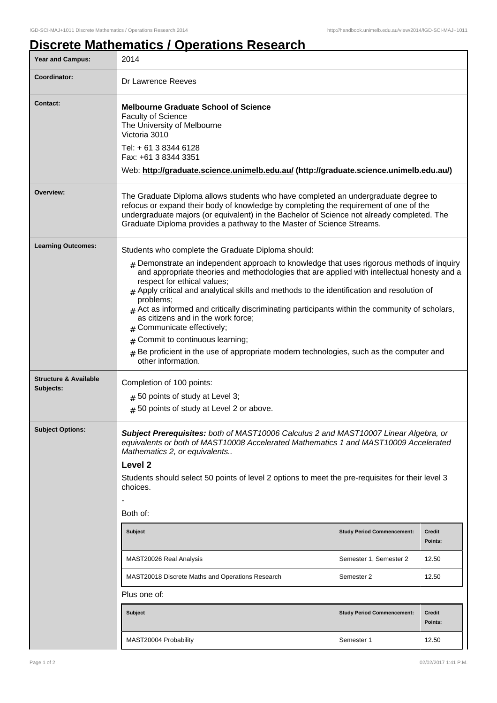## **Discrete Mathematics / Operations Research**

| <b>Year and Campus:</b>          | 2014                                                                                                                                                                                                                                                                                                                                                                                                                                                                                                                                                                                                                                                                         |                                   |                          |  |
|----------------------------------|------------------------------------------------------------------------------------------------------------------------------------------------------------------------------------------------------------------------------------------------------------------------------------------------------------------------------------------------------------------------------------------------------------------------------------------------------------------------------------------------------------------------------------------------------------------------------------------------------------------------------------------------------------------------------|-----------------------------------|--------------------------|--|
| <b>Coordinator:</b>              | Dr Lawrence Reeves                                                                                                                                                                                                                                                                                                                                                                                                                                                                                                                                                                                                                                                           |                                   |                          |  |
| <b>Contact:</b>                  | <b>Melbourne Graduate School of Science</b><br><b>Faculty of Science</b><br>The University of Melbourne<br>Victoria 3010<br>Tel: + 61 3 8344 6128<br>Fax: +61 3 8344 3351<br>Web: http://graduate.science.unimelb.edu.au/ (http://graduate.science.unimelb.edu.au/)                                                                                                                                                                                                                                                                                                                                                                                                          |                                   |                          |  |
| Overview:                        | The Graduate Diploma allows students who have completed an undergraduate degree to<br>refocus or expand their body of knowledge by completing the requirement of one of the<br>undergraduate majors (or equivalent) in the Bachelor of Science not already completed. The<br>Graduate Diploma provides a pathway to the Master of Science Streams.                                                                                                                                                                                                                                                                                                                           |                                   |                          |  |
| <b>Learning Outcomes:</b>        | Students who complete the Graduate Diploma should:                                                                                                                                                                                                                                                                                                                                                                                                                                                                                                                                                                                                                           |                                   |                          |  |
|                                  | $_{\rm H}$ Demonstrate an independent approach to knowledge that uses rigorous methods of inquiry<br>and appropriate theories and methodologies that are applied with intellectual honesty and a<br>respect for ethical values;<br>$#$ Apply critical and analytical skills and methods to the identification and resolution of<br>problems;<br>$#$ Act as informed and critically discriminating participants within the community of scholars,<br>as citizens and in the work force;<br>Communicate effectively;<br>Commit to continuous learning;<br>#<br>$#$ Be proficient in the use of appropriate modern technologies, such as the computer and<br>other information. |                                   |                          |  |
| <b>Structure &amp; Available</b> | Completion of 100 points:                                                                                                                                                                                                                                                                                                                                                                                                                                                                                                                                                                                                                                                    |                                   |                          |  |
| Subjects:                        | $#$ 50 points of study at Level 3;                                                                                                                                                                                                                                                                                                                                                                                                                                                                                                                                                                                                                                           |                                   |                          |  |
|                                  | $#$ 50 points of study at Level 2 or above.                                                                                                                                                                                                                                                                                                                                                                                                                                                                                                                                                                                                                                  |                                   |                          |  |
| <b>Subject Options:</b>          | Subject Prerequisites: both of MAST10006 Calculus 2 and MAST10007 Linear Algebra, or<br>equivalents or both of MAST10008 Accelerated Mathematics 1 and MAST10009 Accelerated<br>Mathematics 2, or equivalents<br>Level <sub>2</sub><br>Students should select 50 points of level 2 options to meet the pre-requisites for their level 3<br>choices.<br>Both of:                                                                                                                                                                                                                                                                                                              |                                   |                          |  |
|                                  | <b>Subject</b>                                                                                                                                                                                                                                                                                                                                                                                                                                                                                                                                                                                                                                                               | <b>Study Period Commencement:</b> | <b>Credit</b><br>Points: |  |
|                                  | MAST20026 Real Analysis                                                                                                                                                                                                                                                                                                                                                                                                                                                                                                                                                                                                                                                      | Semester 1, Semester 2            | 12.50                    |  |
|                                  | MAST20018 Discrete Maths and Operations Research                                                                                                                                                                                                                                                                                                                                                                                                                                                                                                                                                                                                                             | Semester 2                        | 12.50                    |  |
|                                  | Plus one of:                                                                                                                                                                                                                                                                                                                                                                                                                                                                                                                                                                                                                                                                 |                                   |                          |  |
|                                  | Subject                                                                                                                                                                                                                                                                                                                                                                                                                                                                                                                                                                                                                                                                      | <b>Study Period Commencement:</b> | <b>Credit</b><br>Points: |  |
|                                  | MAST20004 Probability                                                                                                                                                                                                                                                                                                                                                                                                                                                                                                                                                                                                                                                        | Semester 1                        | 12.50                    |  |